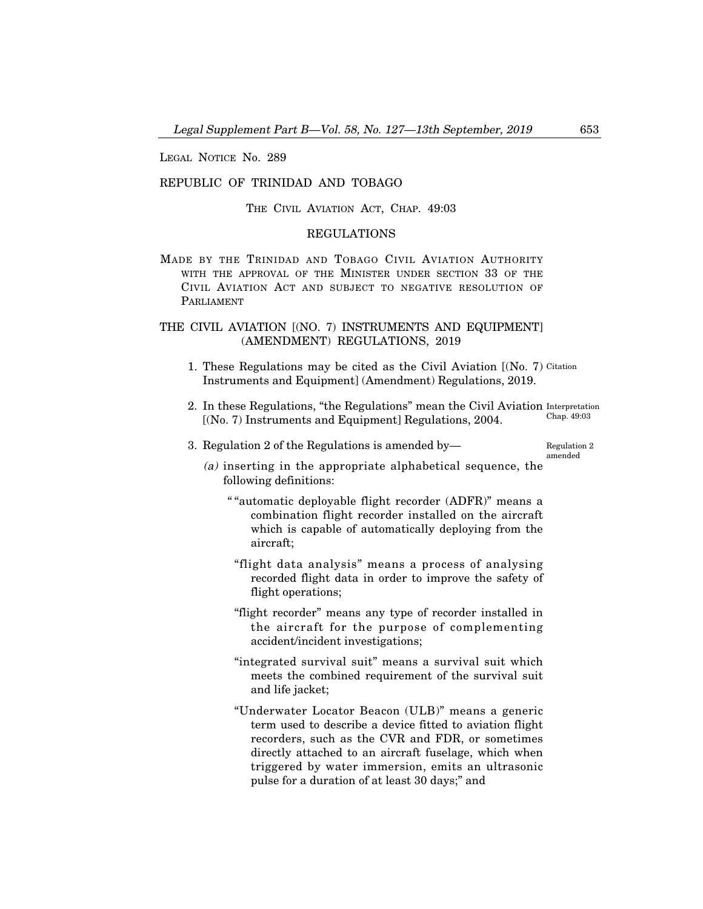LEGAL NOTICE No. 289

## REPUBLIC OF TRINIDAD AND TOBAGO

THE CIVIL AVIATION ACT, CHAP. 49:03

## REGULATIONS

MADE BY THE TRINIDAD AND TOBAGO CIVIL AVIATION AUTHORITY WITH THE APPROVAL OF THE MINISTER UNDER SECTION 33 OF THE CIVIL AVIATION ACT AND SUBJECT TO NEGATIVE RESOLUTION OF PARLIAMENT

## THE CIVIL AVIATION [(NO. 7) INSTRUMENTS AND EQUIPMENT] (AMENDMENT) REGULATIONS, 2019

- 1. These Regulations may be cited as the Civil Aviation [(No. 7) Citation Instruments and Equipment] (Amendment) Regulations, 2019.
- 2. In these Regulations, "the Regulations" mean the Civil Aviation Interpretation [(No. 7) Instruments and Equipment] Regulations, 2004. Chap. 49:03
- 3. Regulation 2 of the Regulations is amended by– Regulation 2

amended

- (a) inserting in the appropriate alphabetical sequence, the following definitions:
	- " "automatic deployable flight recorder (ADFR)" means a combination flight recorder installed on the aircraft which is capable of automatically deploying from the aircraft;
	- "flight data analysis" means a process of analysing recorded flight data in order to improve the safety of flight operations;
	- "flight recorder" means any type of recorder installed in the aircraft for the purpose of complementing accident/incident investigations;
	- "integrated survival suit" means a survival suit which meets the combined requirement of the survival suit and life jacket;
	- "Underwater Locator Beacon (ULB)" means a generic term used to describe a device fitted to aviation flight recorders, such as the CVR and FDR, or sometimes directly attached to an aircraft fuselage, which when triggered by water immersion, emits an ultrasonic pulse for a duration of at least 30 days;" and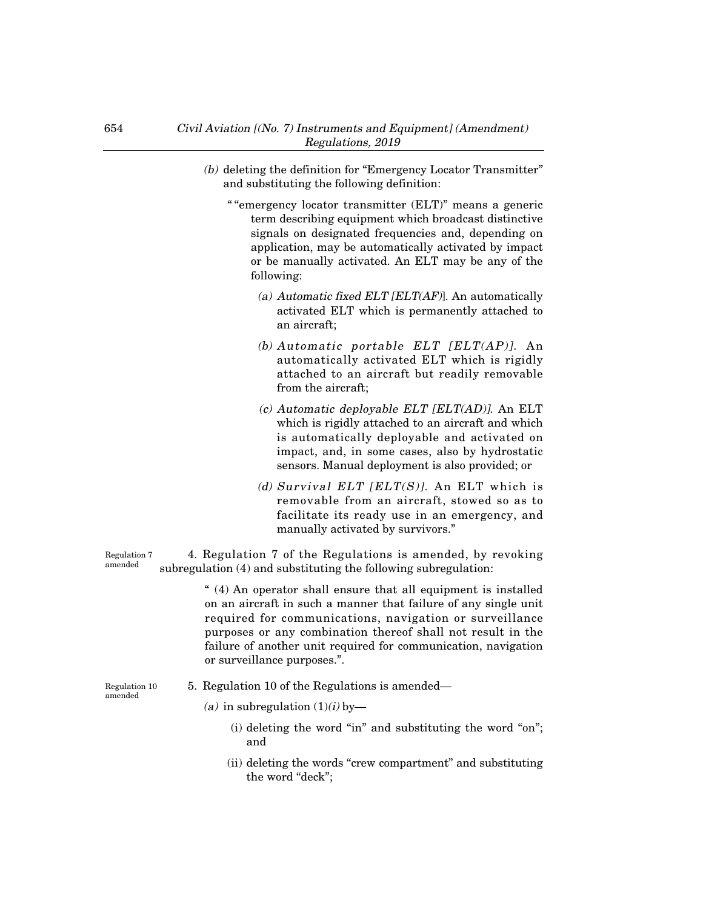- (b) deleting the definition for "Emergency Locator Transmitter" and substituting the following definition:
	- " "emergency locator transmitter (ELT)" means a generic term describing equipment which broadcast distinctive signals on designated frequencies and, depending on application, may be automatically activated by impact or be manually activated. An ELT may be any of the following:
		- (a) Automatic fixed ELT [ELT(AF)]. An automatically activated ELT which is permanently attached to an aircraft;
		- (b) Automatic portable ELT [ELT(AP)]. An automatically activated ELT which is rigidly attached to an aircraft but readily removable from the aircraft;
		- (c) Automatic deployable ELT [ELT(AD)]. An ELT which is rigidly attached to an aircraft and which is automatically deployable and activated on impact, and, in some cases, also by hydrostatic sensors. Manual deployment is also provided; or
		- (d) Survival ELT  $[ELT(S)]$ . An ELT which is removable from an aircraft, stowed so as to facilitate its ready use in an emergency, and manually activated by survivors."

4. Regulation 7 of the Regulations is amended, by revoking subregulation (4) and substituting the following subregulation: Regulation 7 amended

> " (4) An operator shall ensure that all equipment is installed on an aircraft in such a manner that failure of any single unit required for communications, navigation or surveillance purposes or any combination thereof shall not result in the failure of another unit required for communication, navigation or surveillance purposes.".

Regulation 10 amended

- 5. Regulation 10 of the Regulations is amended–
	- (a) in subregulation  $(1)(i)$  by-
		- (i) deleting the word "in" and substituting the word "on"; and
		- (ii) deleting the words "crew compartment" and substituting the word "deck";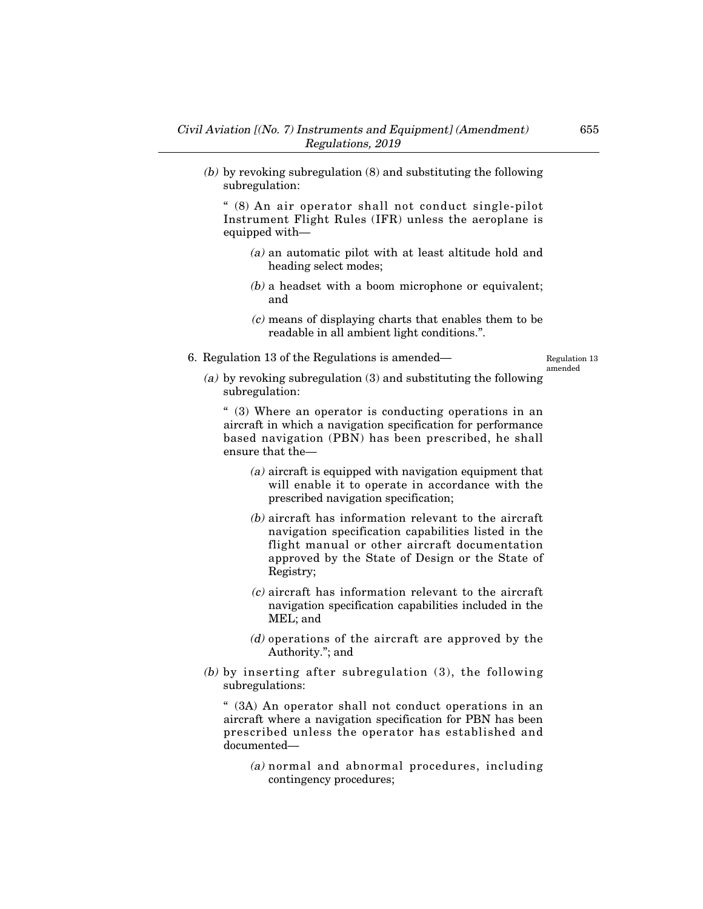(b) by revoking subregulation (8) and substituting the following subregulation:

" (8) An air operator shall not conduct single-pilot Instrument Flight Rules (IFR) unless the aeroplane is equipped with–

- (a) an automatic pilot with at least altitude hold and heading select modes;
- (b) a headset with a boom microphone or equivalent; and
- (c) means of displaying charts that enables them to be readable in all ambient light conditions.".
- 6. Regulation 13 of the Regulations is amended–

Regulation 13 amended

(a) by revoking subregulation (3) and substituting the following subregulation:

" (3) Where an operator is conducting operations in an aircraft in which a navigation specification for performance based navigation (PBN) has been prescribed, he shall ensure that the–

- (a) aircraft is equipped with navigation equipment that will enable it to operate in accordance with the prescribed navigation specification;
- (b) aircraft has information relevant to the aircraft navigation specification capabilities listed in the flight manual or other aircraft documentation approved by the State of Design or the State of Registry;
- (c) aircraft has information relevant to the aircraft navigation specification capabilities included in the MEL; and
- (d) operations of the aircraft are approved by the Authority."; and
- (b) by inserting after subregulation (3), the following subregulations:

" (3A) An operator shall not conduct operations in an aircraft where a navigation specification for PBN has been prescribed unless the operator has established and documented–

(a) normal and abnormal procedures, including contingency procedures;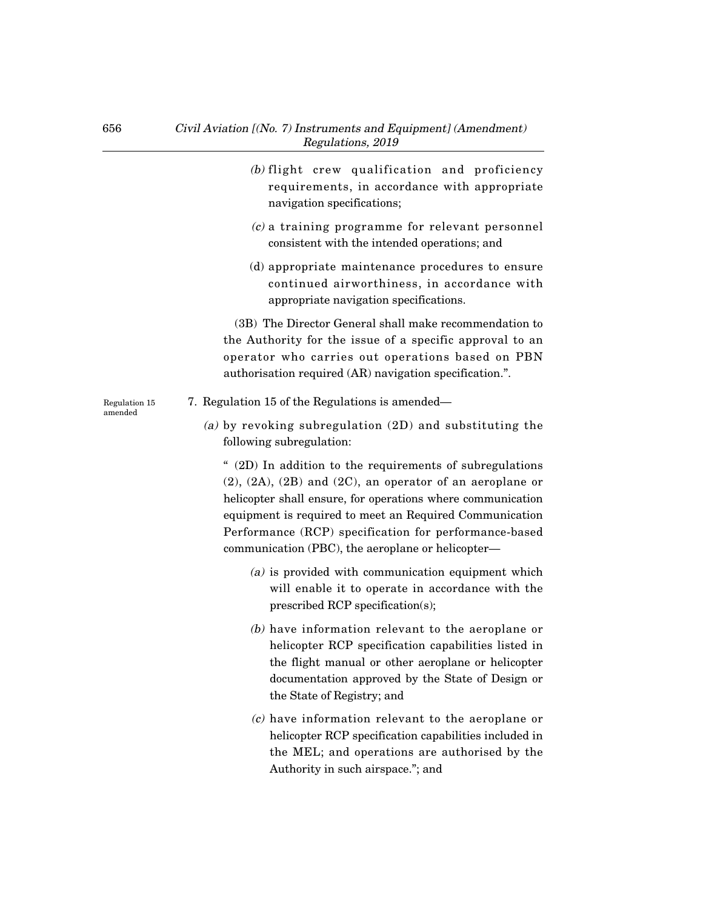|                          | (b) flight crew qualification and proficiency<br>requirements, in accordance with appropriate<br>navigation specifications;                                                                                                                                                                                                                                             |
|--------------------------|-------------------------------------------------------------------------------------------------------------------------------------------------------------------------------------------------------------------------------------------------------------------------------------------------------------------------------------------------------------------------|
|                          | $(c)$ a training programme for relevant personnel<br>consistent with the intended operations; and                                                                                                                                                                                                                                                                       |
|                          | (d) appropriate maintenance procedures to ensure<br>continued airworthiness, in accordance with<br>appropriate navigation specifications.                                                                                                                                                                                                                               |
|                          | (3B) The Director General shall make recommendation to<br>the Authority for the issue of a specific approval to an<br>operator who carries out operations based on PBN<br>authorisation required (AR) navigation specification.".                                                                                                                                       |
| Regulation 15<br>amended | 7. Regulation 15 of the Regulations is amended—                                                                                                                                                                                                                                                                                                                         |
|                          | (a) by revoking subregulation $(2D)$ and substituting the<br>following subregulation:                                                                                                                                                                                                                                                                                   |
|                          | " (2D) In addition to the requirements of subregulations<br>$(2)$ , $(2A)$ , $(2B)$ and $(2C)$ , an operator of an aeroplane or<br>helicopter shall ensure, for operations where communication<br>equipment is required to meet an Required Communication<br>Performance (RCP) specification for performance-based<br>communication (PBC), the aeroplane or helicopter- |
|                          | $(a)$ is provided with communication equipment which<br>will enable it to operate in accordance with the<br>prescribed RCP specification(s);                                                                                                                                                                                                                            |
|                          | $(b)$ have information relevant to the aeroplane or<br>helicopter RCP specification capabilities listed in<br>the flight manual or other aeroplane or helicopter<br>documentation approved by the State of Design or<br>the State of Registry; and                                                                                                                      |
|                          | (a) have information notercat to the consular and                                                                                                                                                                                                                                                                                                                       |

(c) have information relevant to the aeroplane or helicopter RCP specification capabilities included in the MEL; and operations are authorised by the Authority in such airspace."; and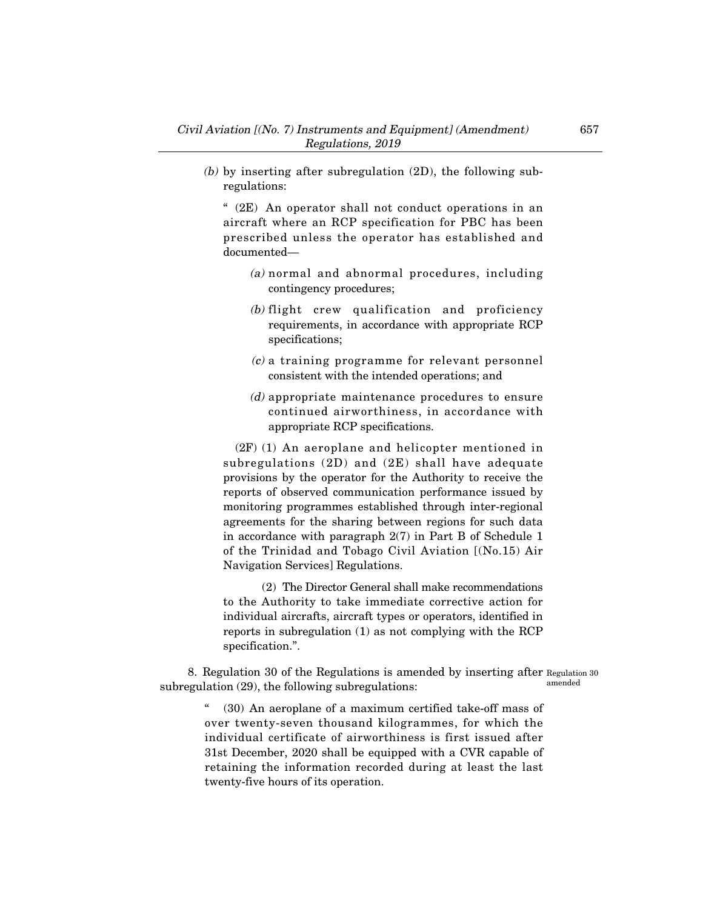(b) by inserting after subregulation (2D), the following subregulations:

" (2E) An operator shall not conduct operations in an aircraft where an RCP specification for PBC has been prescribed unless the operator has established and documented–

- (a) normal and abnormal procedures, including contingency procedures;
- (b) flight crew qualification and proficiency requirements, in accordance with appropriate RCP specifications;
- (c) a training programme for relevant personnel consistent with the intended operations; and
- (d) appropriate maintenance procedures to ensure continued airworthiness, in accordance with appropriate RCP specifications.

(2F) (1) An aeroplane and helicopter mentioned in subregulations (2D) and (2E) shall have adequate provisions by the operator for the Authority to receive the reports of observed communication performance issued by monitoring programmes established through inter-regional agreements for the sharing between regions for such data in accordance with paragraph 2(7) in Part B of Schedule 1 of the Trinidad and Tobago Civil Aviation [(No.15) Air Navigation Services] Regulations.

(2) The Director General shall make recommendations to the Authority to take immediate corrective action for individual aircrafts, aircraft types or operators, identified in reports in subregulation (1) as not complying with the RCP specification.".

8. Regulation 30 of the Regulations is amended by inserting after Regulation 30 subregulation (29), the following subregulations: amended

> (30) An aeroplane of a maximum certified take-off mass of over twenty-seven thousand kilogrammes, for which the individual certificate of airworthiness is first issued after 31st December, 2020 shall be equipped with a CVR capable of retaining the information recorded during at least the last twenty-five hours of its operation.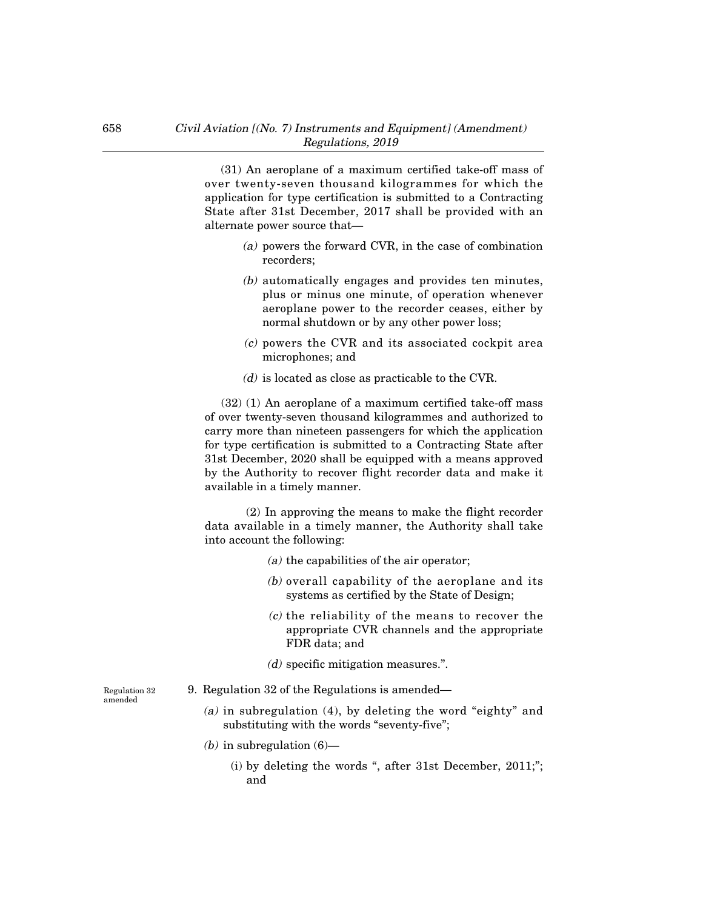(31) An aeroplane of a maximum certified take-off mass of over twenty-seven thousand kilogrammes for which the application for type certification is submitted to a Contracting State after 31st December, 2017 shall be provided with an alternate power source that–

- (a) powers the forward CVR, in the case of combination recorders;
- (b) automatically engages and provides ten minutes, plus or minus one minute, of operation whenever aeroplane power to the recorder ceases, either by normal shutdown or by any other power loss;
- (c) powers the CVR and its associated cockpit area microphones; and
- (d) is located as close as practicable to the CVR.

(32) (1) An aeroplane of a maximum certified take-off mass of over twenty-seven thousand kilogrammes and authorized to carry more than nineteen passengers for which the application for type certification is submitted to a Contracting State after 31st December, 2020 shall be equipped with a means approved by the Authority to recover flight recorder data and make it available in a timely manner.

(2) In approving the means to make the flight recorder data available in a timely manner, the Authority shall take into account the following:

- (a) the capabilities of the air operator;
- (b) overall capability of the aeroplane and its systems as certified by the State of Design;
- (c) the reliability of the means to recover the appropriate CVR channels and the appropriate FDR data; and
- (d) specific mitigation measures.".

Regulation 32 amended

- 9. Regulation 32 of the Regulations is amended–
	- (a) in subregulation (4), by deleting the word "eighty" and substituting with the words "seventy-five";
	- (b) in subregulation  $(6)$ 
		- (i) by deleting the words ", after 31st December, 2011;"; and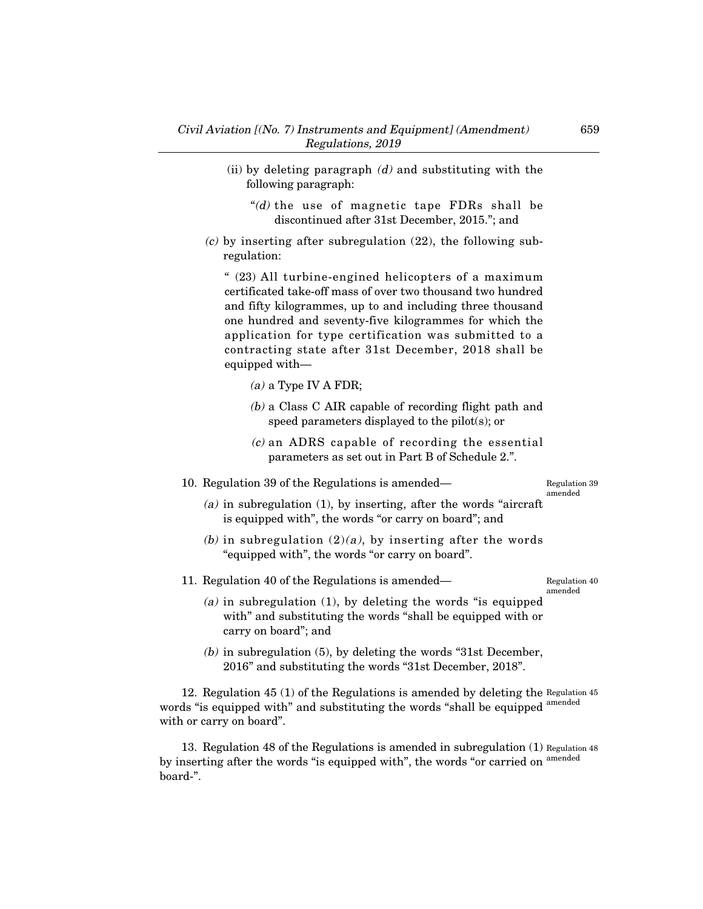- (ii) by deleting paragraph  $(d)$  and substituting with the following paragraph:
	- "(d) the use of magnetic tape  $FDRs$  shall be discontinued after 31st December, 2015."; and
- $(c)$  by inserting after subregulation (22), the following subregulation:

" (23) All turbine-engined helicopters of a maximum certificated take-off mass of over two thousand two hundred and fifty kilogrammes, up to and including three thousand one hundred and seventy-five kilogrammes for which the application for type certification was submitted to a contracting state after 31st December, 2018 shall be equipped with–

- $(a)$  a Type IV A FDR;
- (b) a Class C AIR capable of recording flight path and speed parameters displayed to the pilot(s); or
- (c) an ADRS capable of recording the essential parameters as set out in Part B of Schedule 2.".

10. Regulation 39 of the Regulations is amended–

Regulation 39 amended

- $(a)$  in subregulation  $(1)$ , by inserting, after the words "aircraft" is equipped with", the words "or carry on board"; and
- (b) in subregulation  $(2)(a)$ , by inserting after the words "equipped with", the words "or carry on board".

11. Regulation 40 of the Regulations is amended–

Regulation 40 amended

- (a) in subregulation  $(1)$ , by deleting the words "is equipped with" and substituting the words "shall be equipped with or carry on board"; and
- (b) in subregulation (5), by deleting the words "31st December, 2016" and substituting the words "31st December, 2018".

12. Regulation 45 (1) of the Regulations is amended by deleting the Regulation 45 words "is equipped with" and substituting the words "shall be equipped <sup>amended</sup> with or carry on board".

13. Regulation 48 of the Regulations is amended in subregulation (1) Regulation 48 by inserting after the words "is equipped with", the words "or carried on <sup>amended</sup> board-".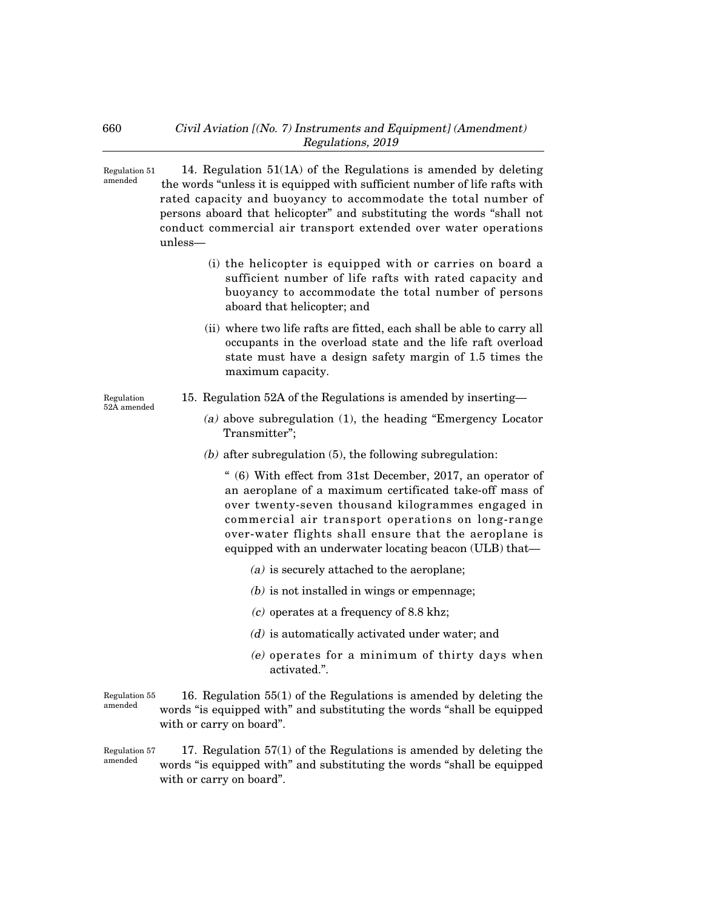14. Regulation 51(1A) of the Regulations is amended by deleting the words "unless it is equipped with sufficient number of life rafts with rated capacity and buoyancy to accommodate the total number of persons aboard that helicopter" and substituting the words "shall not conduct commercial air transport extended over water operations unless– Regulation 51 amended

- (i) the helicopter is equipped with or carries on board a sufficient number of life rafts with rated capacity and buoyancy to accommodate the total number of persons aboard that helicopter; and
- (ii) where two life rafts are fitted, each shall be able to carry all occupants in the overload state and the life raft overload state must have a design safety margin of 1.5 times the maximum capacity.

Regulation 52A amended

- 15. Regulation 52A of the Regulations is amended by inserting–
	- (a) above subregulation (1), the heading "Emergency Locator Transmitter";
	- $(b)$  after subregulation  $(5)$ , the following subregulation:

" (6) With effect from 31st December, 2017, an operator of an aeroplane of a maximum certificated take-off mass of over twenty-seven thousand kilogrammes engaged in commercial air transport operations on long-range over-water flights shall ensure that the aeroplane is equipped with an underwater locating beacon (ULB) that–

- (a) is securely attached to the aeroplane;
- $(b)$  is not installed in wings or empennage;
- (c) operates at a frequency of 8.8 khz;
- (d) is automatically activated under water; and
- (e) operates for a minimum of thirty days when activated.".

16. Regulation 55(1) of the Regulations is amended by deleting the words "is equipped with" and substituting the words "shall be equipped with or carry on board". Regulation 55 amended

17. Regulation 57(1) of the Regulations is amended by deleting the words "is equipped with" and substituting the words "shall be equipped with or carry on board". Regulation 57 amended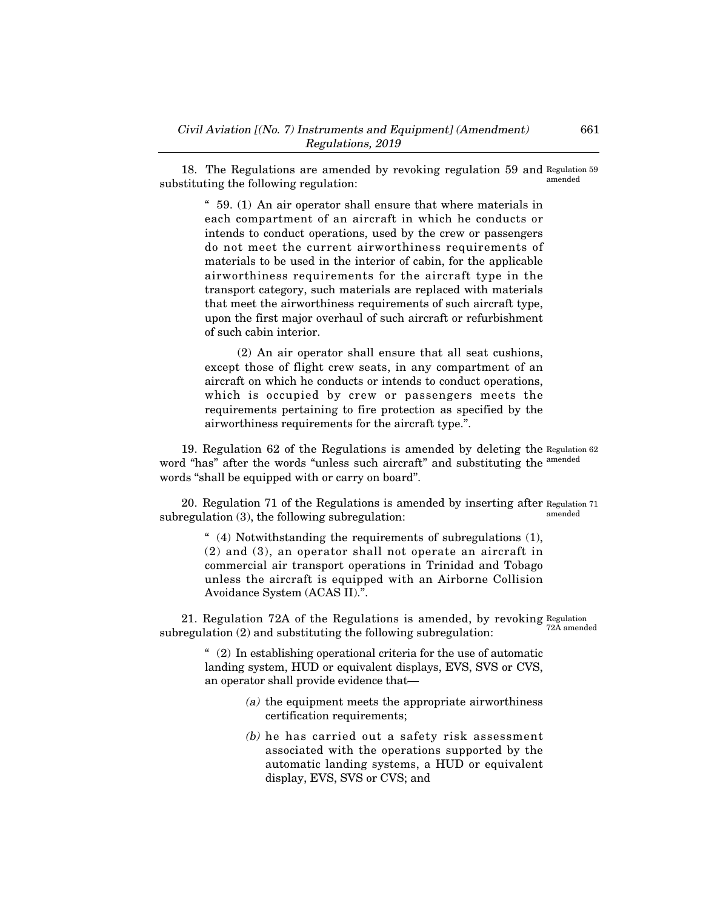18. The Regulations are amended by revoking regulation 59 and Regulation 59 substituting the following regulation: amended

" 59. (1) An air operator shall ensure that where materials in each compartment of an aircraft in which he conducts or intends to conduct operations, used by the crew or passengers do not meet the current airworthiness requirements of materials to be used in the interior of cabin, for the applicable airworthiness requirements for the aircraft type in the transport category, such materials are replaced with materials that meet the airworthiness requirements of such aircraft type, upon the first major overhaul of such aircraft or refurbishment of such cabin interior.

(2) An air operator shall ensure that all seat cushions, except those of flight crew seats, in any compartment of an aircraft on which he conducts or intends to conduct operations, which is occupied by crew or passengers meets the requirements pertaining to fire protection as specified by the airworthiness requirements for the aircraft type.".

19. Regulation 62 of the Regulations is amended by deleting the Regulation 62 word "has" after the words "unless such aircraft" and substituting the <sup>amended</sup> words "shall be equipped with or carry on board".

20. Regulation 71 of the Regulations is amended by inserting after Regulation 71 subregulation (3), the following subregulation: amended

" (4) Notwithstanding the requirements of subregulations (1), (2) and (3), an operator shall not operate an aircraft in commercial air transport operations in Trinidad and Tobago unless the aircraft is equipped with an Airborne Collision Avoidance System (ACAS II).".

21. Regulation 72A of the Regulations is amended, by revoking Regulation subregulation (2) and substituting the following subregulation: 72A amended

> $(2)$  In establishing operational criteria for the use of automatic landing system, HUD or equivalent displays, EVS, SVS or CVS, an operator shall provide evidence that–

- (a) the equipment meets the appropriate airworthiness certification requirements;
- (b) he has carried out a safety risk assessment associated with the operations supported by the automatic landing systems, a HUD or equivalent display, EVS, SVS or CVS; and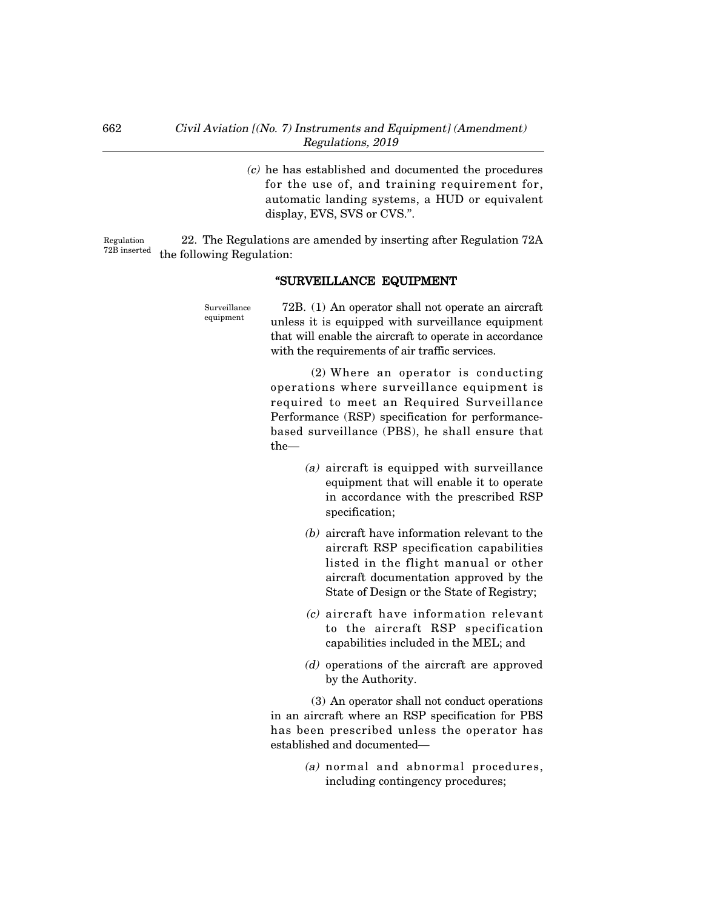(c) he has established and documented the procedures for the use of, and training requirement for, automatic landing systems, a HUD or equivalent display, EVS, SVS or CVS.".

22. The Regulations are amended by inserting after Regulation 72A the following Regulation: Regulation 72B inserted

## "SURVEILLANCE EQUIPMENT

72B. (1) An operator shall not operate an aircraft unless it is equipped with surveillance equipment that will enable the aircraft to operate in accordance with the requirements of air traffic services. Surveillance equipment

> (2) Where an operator is conducting operations where surveillance equipment is required to meet an Required Surveillance Performance (RSP) specification for performancebased surveillance (PBS), he shall ensure that the–

- (a) aircraft is equipped with surveillance equipment that will enable it to operate in accordance with the prescribed RSP specification;
- (b) aircraft have information relevant to the aircraft RSP specification capabilities listed in the flight manual or other aircraft documentation approved by the State of Design or the State of Registry;
- (c) aircraft have information relevant to the aircraft RSP specification capabilities included in the MEL; and
- (d) operations of the aircraft are approved by the Authority.

(3) An operator shall not conduct operations in an aircraft where an RSP specification for PBS has been prescribed unless the operator has established and documented–

> (a) normal and abnormal procedures, including contingency procedures;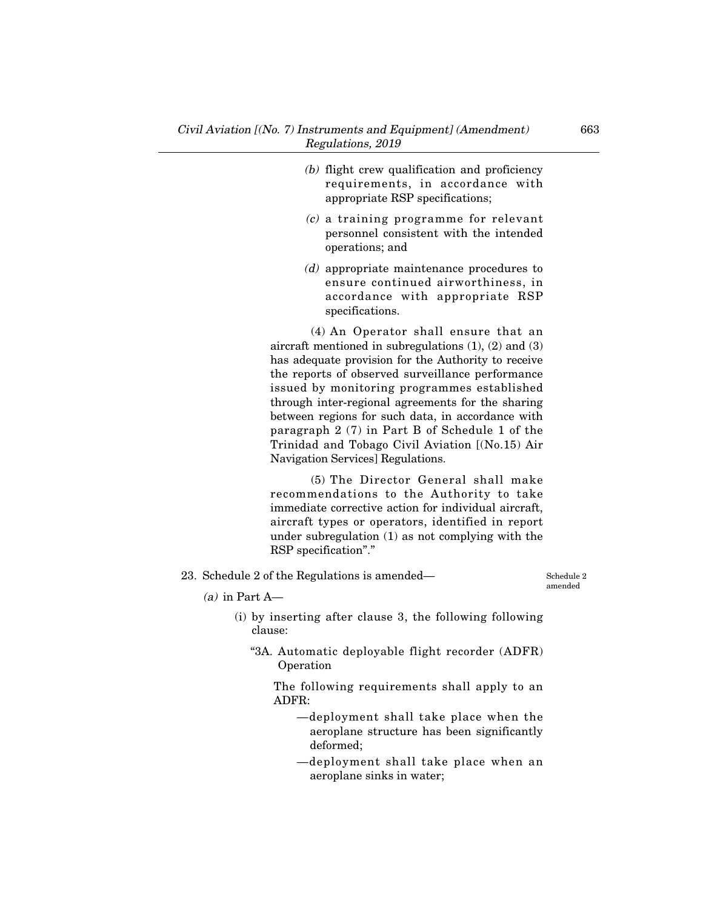- (b) flight crew qualification and proficiency requirements, in accordance with appropriate RSP specifications;
- (c) a training programme for relevant personnel consistent with the intended operations; and
- (d) appropriate maintenance procedures to ensure continued airworthiness, in accordance with appropriate RSP specifications.

(4) An Operator shall ensure that an aircraft mentioned in subregulations (1), (2) and (3) has adequate provision for the Authority to receive the reports of observed surveillance performance issued by monitoring programmes established through inter-regional agreements for the sharing between regions for such data, in accordance with paragraph 2 (7) in Part B of Schedule 1 of the Trinidad and Tobago Civil Aviation [(No.15) Air Navigation Services] Regulations.

(5) The Director General shall make recommendations to the Authority to take immediate corrective action for individual aircraft, aircraft types or operators, identified in report under subregulation (1) as not complying with the RSP specification"."

23. Schedule 2 of the Regulations is amended–

Schedule 2 amended

- $(a)$  in Part A—
	- (i) by inserting after clause 3, the following following clause:
		- "3A. Automatic deployable flight recorder (ADFR) Operation

The following requirements shall apply to an ADFR:

- –deployment shall take place when the aeroplane structure has been significantly deformed;
- –deployment shall take place when an aeroplane sinks in water;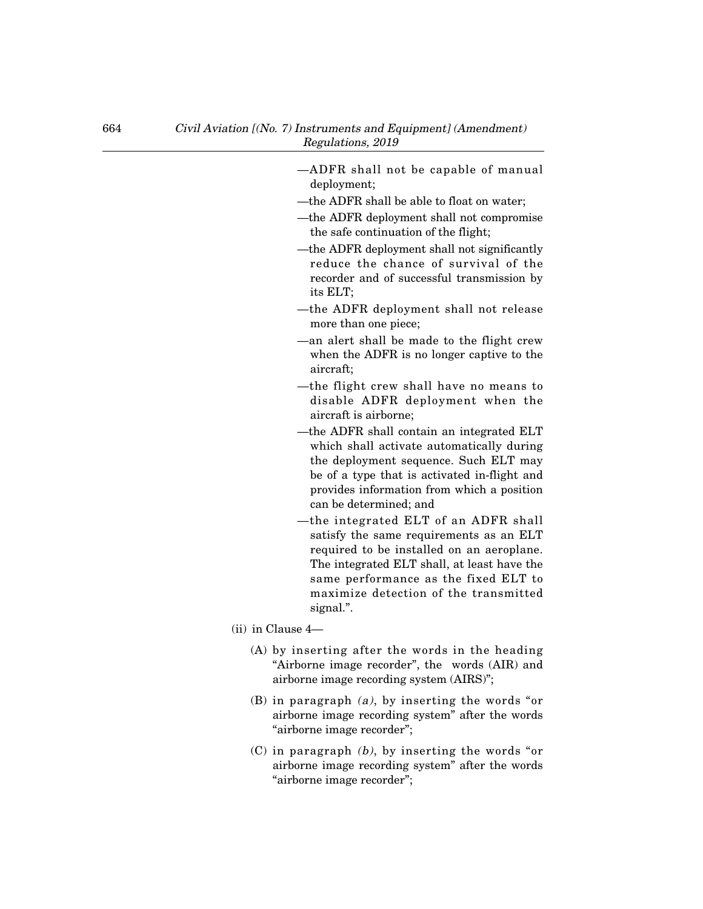| -ADFR shall not be capable of manual<br>deployment;                                                                                                                                                                                                                       |  |
|---------------------------------------------------------------------------------------------------------------------------------------------------------------------------------------------------------------------------------------------------------------------------|--|
| -the ADFR shall be able to float on water;                                                                                                                                                                                                                                |  |
| -the ADFR deployment shall not compromise<br>the safe continuation of the flight;                                                                                                                                                                                         |  |
| —the ADFR deployment shall not significantly<br>reduce the chance of survival of the<br>recorder and of successful transmission by<br>its ELT;                                                                                                                            |  |
| -the ADFR deployment shall not release<br>more than one piece;                                                                                                                                                                                                            |  |
| -an alert shall be made to the flight crew<br>when the ADFR is no longer captive to the<br>aircraft;                                                                                                                                                                      |  |
| -the flight crew shall have no means to<br>disable ADFR deployment when the<br>aircraft is airborne;                                                                                                                                                                      |  |
| -the ADFR shall contain an integrated ELT<br>which shall activate automatically during<br>the deployment sequence. Such ELT may<br>be of a type that is activated in-flight and<br>provides information from which a position<br>can be determined; and                   |  |
| -the integrated ELT of an ADFR shall<br>satisfy the same requirements as an ELT<br>required to be installed on an aeroplane.<br>The integrated ELT shall, at least have the<br>same performance as the fixed ELT to<br>maximize detection of the transmitted<br>signal.". |  |
| $(ii)$ in Clause 4—                                                                                                                                                                                                                                                       |  |
| (A) by inserting after the words in the heading<br>"Airborne image recorder", the words (AIR) and<br>airborne image recording system (AIRS)";                                                                                                                             |  |
| (B) in paragraph $(a)$ , by inserting the words "or<br>airborne image recording system" after the words<br>"airborne image recorder";                                                                                                                                     |  |
| $(C)$ in paragraph $(b)$ , by inserting the words "or<br>airborne image recording system" after the words                                                                                                                                                                 |  |

"airborne image recorder";